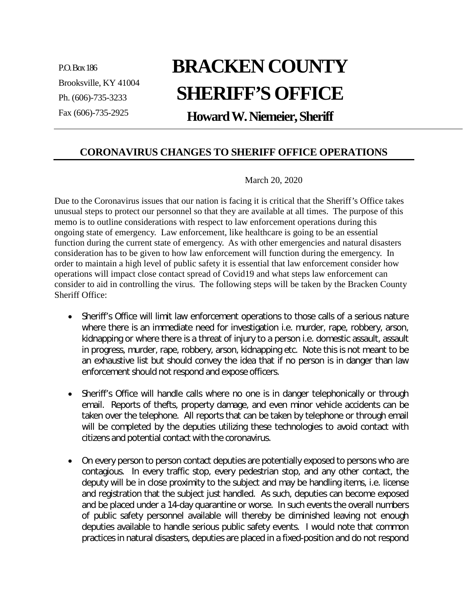P.O.Box186 Brooksville, KY 41004 Ph. (606)-735-3233 Fax (606)-735-2925

## **BRACKEN COUNTY SHERIFF'S OFFICE**

**HowardW.Niemeier,Sheriff**

## **CORONAVIRUS CHANGES TO SHERIFF OFFICE OPERATIONS**

## March 20, 2020

Due to the Coronavirus issues that our nation is facing it is critical that the Sheriff's Office takes unusual steps to protect our personnel so that they are available at all times. The purpose of this memo is to outline considerations with respect to law enforcement operations during this ongoing state of emergency. Law enforcement, like healthcare is going to be an essential function during the current state of emergency. As with other emergencies and natural disasters consideration has to be given to how law enforcement will function during the emergency. In order to maintain a high level of public safety it is essential that law enforcement consider how operations will impact close contact spread of Covid19 and what steps law enforcement can consider to aid in controlling the virus. The following steps will be taken by the Bracken County Sheriff Office:

- Sheriff's Office will limit law enforcement operations to those calls of a serious nature where there is an immediate need for investigation i.e. murder, rape, robbery, arson, kidnapping or where there is a threat of injury to a person i.e. domestic assault, assault in progress, murder, rape, robbery, arson, kidnapping etc. Note this is not meant to be an exhaustive list but should convey the idea that if no person is in danger than law enforcement should not respond and expose officers.
- Sheriff's Office will handle calls where no one is in danger telephonically or through email. Reports of thefts, property damage, and even minor vehicle accidents can be taken over the telephone. All reports that can be taken by telephone or through email will be completed by the deputies utilizing these technologies to avoid contact with citizens and potential contact with the coronavirus.
- On every person to person contact deputies are potentially exposed to persons who are contagious. In every traffic stop, every pedestrian stop, and any other contact, the deputy will be in close proximity to the subject and may be handling items, i.e. license and registration that the subject just handled. As such, deputies can become exposed and be placed under a 14-day quarantine or worse. In such events the overall numbers of public safety personnel available will thereby be diminished leaving not enough deputies available to handle serious public safety events. I would note that common practices in natural disasters, deputies are placed in a fixed-position and do not respond